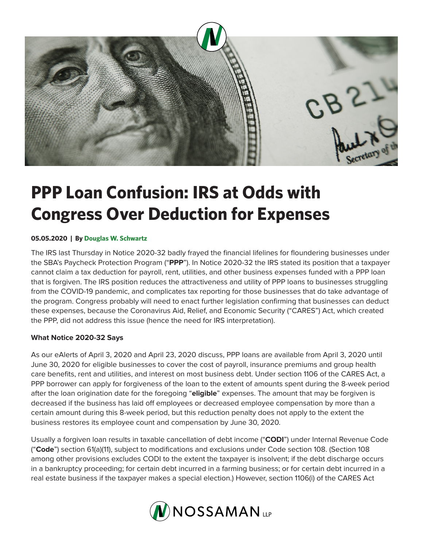

# **PPP Loan Confusion: IRS at Odds with Congress Over Deduction for Expenses**

#### **05.05.2020 | By Douglas W. Schwartz**

The IRS last Thursday in Notice 2020-32 badly frayed the financial lifelines for floundering businesses under the SBA's Paycheck Protection Program ("**PPP**"). In Notice 2020-32 the IRS stated its position that a taxpayer cannot claim a tax deduction for payroll, rent, utilities, and other business expenses funded with a PPP loan that is forgiven. The IRS position reduces the attractiveness and utility of PPP loans to businesses struggling from the COVID-19 pandemic, and complicates tax reporting for those businesses that do take advantage of the program. Congress probably will need to enact further legislation confirming that businesses can deduct these expenses, because the Coronavirus Aid, Relief, and Economic Security ("CARES") Act, which created the PPP, did not address this issue (hence the need for IRS interpretation).

### **What Notice 2020-32 Says**

As our eAlerts of April 3, 2020 and April 23, 2020 discuss, PPP loans are available from April 3, 2020 until June 30, 2020 for eligible businesses to cover the cost of payroll, insurance premiums and group health care benefits, rent and utilities, and interest on most business debt. Under section 1106 of the CARES Act, a PPP borrower can apply for forgiveness of the loan to the extent of amounts spent during the 8-week period after the loan origination date for the foregoing "**eligible**" expenses. The amount that may be forgiven is decreased if the business has laid off employees or decreased employee compensation by more than a certain amount during this 8-week period, but this reduction penalty does not apply to the extent the business restores its employee count and compensation by June 30, 2020.

Usually a forgiven loan results in taxable cancellation of debt income ("**CODI**") under Internal Revenue Code ("**Code**") section 61(a)(11), subject to modifications and exclusions under Code section 108. (Section 108 among other provisions excludes CODI to the extent the taxpayer is insolvent; if the debt discharge occurs in a bankruptcy proceeding; for certain debt incurred in a farming business; or for certain debt incurred in a real estate business if the taxpayer makes a special election.) However, section 1106(i) of the CARES Act

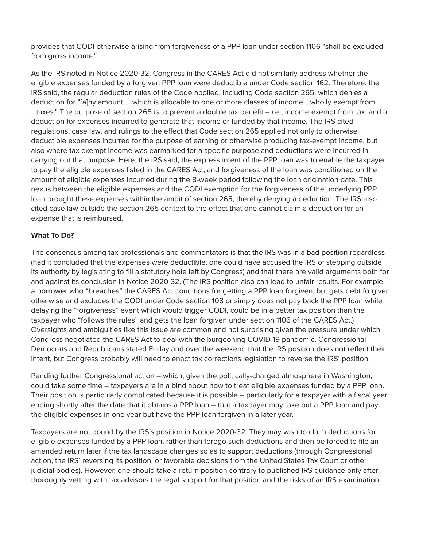provides that CODI otherwise arising from forgiveness of a PPP loan under section 1106 "shall be excluded from gross income."

As the IRS noted in Notice 2020-32, Congress in the CARES Act did not similarly address whether the eligible expenses funded by a forgiven PPP loan were deductible under Code section 162. Therefore, the IRS said, the regular deduction rules of the Code applied, including Code section 265, which denies a deduction for "[a]ny amount … which is allocable to one or more classes of income …wholly exempt from …taxes." The purpose of section 265 is to prevent a double tax benefit – *i.e*., income exempt from tax, and a deduction for expenses incurred to generate that income or funded by that income. The IRS cited regulations, case law, and rulings to the effect that Code section 265 applied not only to otherwise deductible expenses incurred for the purpose of earning or otherwise producing tax-exempt income, but also where tax exempt income was earmarked for a specific purpose and deductions were incurred in carrying out that purpose. Here, the IRS said, the express intent of the PPP loan was to enable the taxpayer to pay the eligible expenses listed in the CARES Act, and forgiveness of the loan was conditioned on the amount of eligible expenses incurred during the 8-week period following the loan origination date. This nexus between the eligible expenses and the CODI exemption for the forgiveness of the underlying PPP loan brought these expenses within the ambit of section 265, thereby denying a deduction. The IRS also cited case law outside the section 265 context to the effect that one cannot claim a deduction for an expense that is reimbursed.

## **What To Do?**

The consensus among tax professionals and commentators is that the IRS was in a bad position regardless (had it concluded that the expenses were deductible, one could have accused the IRS of stepping outside its authority by legislating to fill a statutory hole left by Congress) and that there are valid arguments both for and against its conclusion in Notice 2020-32. (The IRS position also can lead to unfair results. For example, a borrower who "breaches" the CARES Act conditions for getting a PPP loan forgiven, but gets debt forgiven otherwise and excludes the CODI under Code section 108 or simply does not pay back the PPP loan while delaying the "forgiveness" event which would trigger CODI, could be in a better tax position than the taxpayer who "follows the rules" and gets the loan forgiven under section 1106 of the CARES Act.) Oversights and ambiguities like this issue are common and not surprising given the pressure under which Congress negotiated the CARES Act to deal with the burgeoning COVID-19 pandemic. Congressional Democrats and Republicans stated Friday and over the weekend that the IRS position does not reflect their intent, but Congress probably will need to enact tax corrections legislation to reverse the IRS' position.

Pending further Congressional action – which, given the politically-charged atmosphere in Washington, could take some time – taxpayers are in a bind about how to treat eligible expenses funded by a PPP loan. Their position is particularly complicated because it is possible – particularly for a taxpayer with a fiscal year ending shortly after the date that it obtains a PPP loan – that a taxpayer may take out a PPP loan and pay the eligible expenses in one year but have the PPP loan forgiven in a later year.

Taxpayers are not bound by the IRS's position in Notice 2020-32. They may wish to claim deductions for eligible expenses funded by a PPP loan, rather than forego such deductions and then be forced to file an amended return later if the tax landscape changes so as to support deductions (through Congressional action, the IRS' reversing its position, or favorable decisions from the United States Tax Court or other judicial bodies). However, one should take a return position contrary to published IRS guidance only after thoroughly vetting with tax advisors the legal support for that position and the risks of an IRS examination.